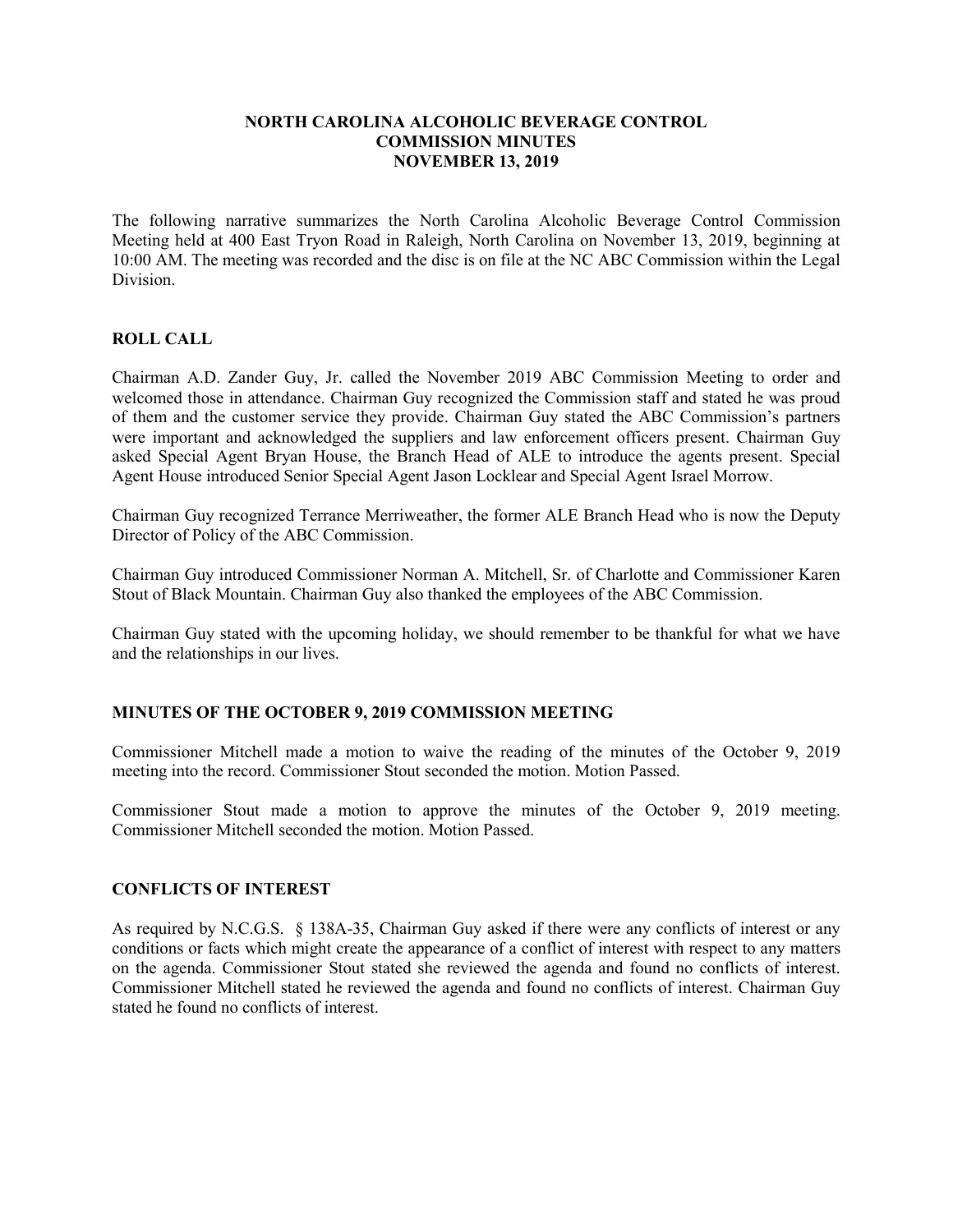#### **NORTH CAROLINA ALCOHOLIC BEVERAGE CONTROL COMMISSION MINUTES NOVEMBER 13, 2019**

The following narrative summarizes the North Carolina Alcoholic Beverage Control Commission Meeting held at 400 East Tryon Road in Raleigh, North Carolina on November 13, 2019, beginning at 10:00 AM. The meeting was recorded and the disc is on file at the NC ABC Commission within the Legal Division.

### **ROLL CALL**

Chairman A.D. Zander Guy, Jr. called the November 2019 ABC Commission Meeting to order and welcomed those in attendance. Chairman Guy recognized the Commission staff and stated he was proud of them and the customer service they provide. Chairman Guy stated the ABC Commission's partners were important and acknowledged the suppliers and law enforcement officers present. Chairman Guy asked Special Agent Bryan House, the Branch Head of ALE to introduce the agents present. Special Agent House introduced Senior Special Agent Jason Locklear and Special Agent Israel Morrow.

Chairman Guy recognized Terrance Merriweather, the former ALE Branch Head who is now the Deputy Director of Policy of the ABC Commission.

Chairman Guy introduced Commissioner Norman A. Mitchell, Sr. of Charlotte and Commissioner Karen Stout of Black Mountain. Chairman Guy also thanked the employees of the ABC Commission.

Chairman Guy stated with the upcoming holiday, we should remember to be thankful for what we have and the relationships in our lives.

### **MINUTES OF THE OCTOBER 9, 2019 COMMISSION MEETING**

Commissioner Mitchell made a motion to waive the reading of the minutes of the October 9, 2019 meeting into the record. Commissioner Stout seconded the motion. Motion Passed.

Commissioner Stout made a motion to approve the minutes of the October 9, 2019 meeting. Commissioner Mitchell seconded the motion. Motion Passed.

### **CONFLICTS OF INTEREST**

As required by N.C.G.S. § 138A-35, Chairman Guy asked if there were any conflicts of interest or any conditions or facts which might create the appearance of a conflict of interest with respect to any matters on the agenda. Commissioner Stout stated she reviewed the agenda and found no conflicts of interest. Commissioner Mitchell stated he reviewed the agenda and found no conflicts of interest. Chairman Guy stated he found no conflicts of interest.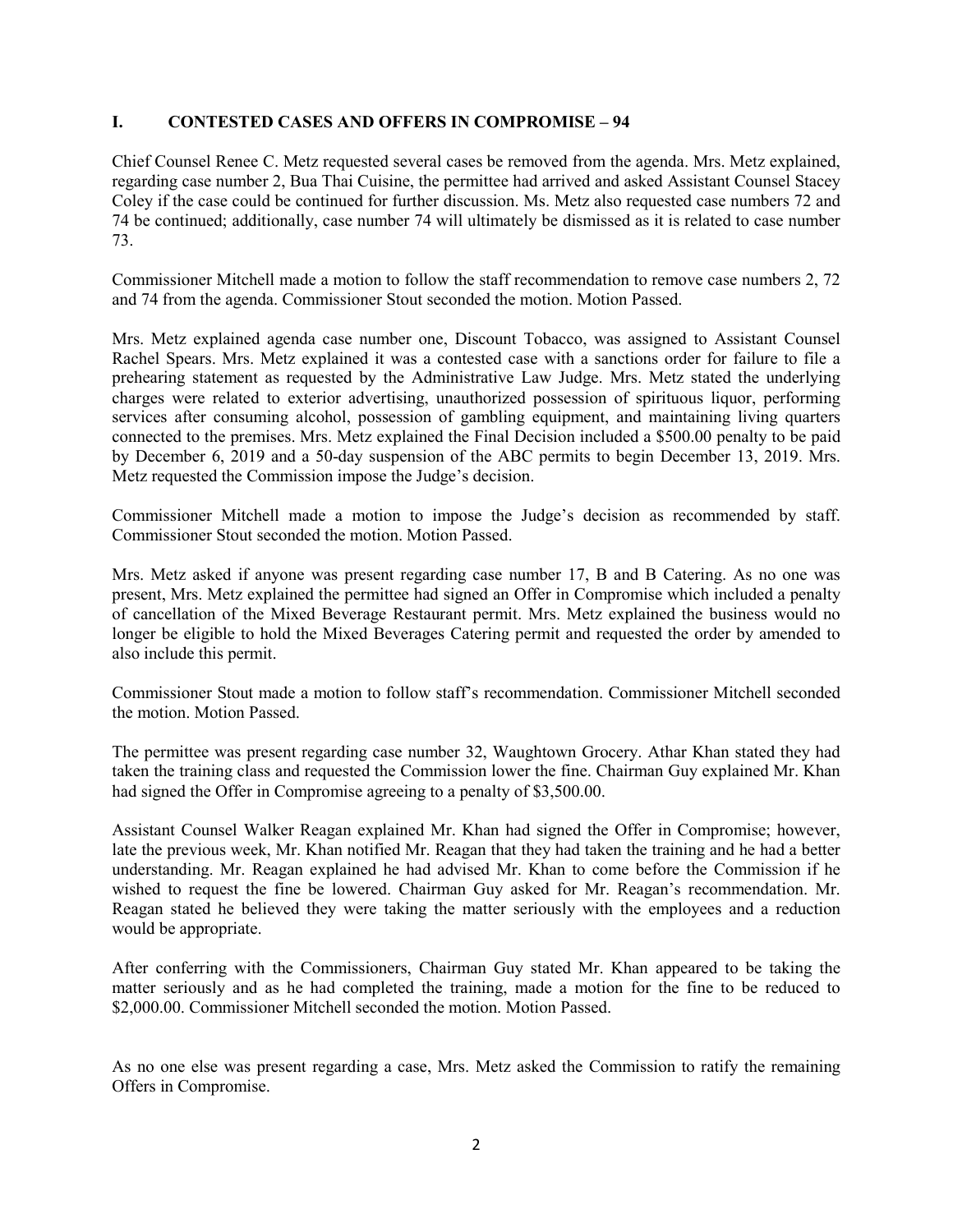### **I. CONTESTED CASES AND OFFERS IN COMPROMISE – 94**

Chief Counsel Renee C. Metz requested several cases be removed from the agenda. Mrs. Metz explained, regarding case number 2, Bua Thai Cuisine, the permittee had arrived and asked Assistant Counsel Stacey Coley if the case could be continued for further discussion. Ms. Metz also requested case numbers 72 and 74 be continued; additionally, case number 74 will ultimately be dismissed as it is related to case number 73.

Commissioner Mitchell made a motion to follow the staff recommendation to remove case numbers 2, 72 and 74 from the agenda. Commissioner Stout seconded the motion. Motion Passed.

Mrs. Metz explained agenda case number one, Discount Tobacco, was assigned to Assistant Counsel Rachel Spears. Mrs. Metz explained it was a contested case with a sanctions order for failure to file a prehearing statement as requested by the Administrative Law Judge. Mrs. Metz stated the underlying charges were related to exterior advertising, unauthorized possession of spirituous liquor, performing services after consuming alcohol, possession of gambling equipment, and maintaining living quarters connected to the premises. Mrs. Metz explained the Final Decision included a \$500.00 penalty to be paid by December 6, 2019 and a 50-day suspension of the ABC permits to begin December 13, 2019. Mrs. Metz requested the Commission impose the Judge's decision.

Commissioner Mitchell made a motion to impose the Judge's decision as recommended by staff. Commissioner Stout seconded the motion. Motion Passed.

Mrs. Metz asked if anyone was present regarding case number 17, B and B Catering. As no one was present, Mrs. Metz explained the permittee had signed an Offer in Compromise which included a penalty of cancellation of the Mixed Beverage Restaurant permit. Mrs. Metz explained the business would no longer be eligible to hold the Mixed Beverages Catering permit and requested the order by amended to also include this permit.

Commissioner Stout made a motion to follow staff's recommendation. Commissioner Mitchell seconded the motion. Motion Passed.

The permittee was present regarding case number 32, Waughtown Grocery. Athar Khan stated they had taken the training class and requested the Commission lower the fine. Chairman Guy explained Mr. Khan had signed the Offer in Compromise agreeing to a penalty of \$3,500.00.

Assistant Counsel Walker Reagan explained Mr. Khan had signed the Offer in Compromise; however, late the previous week, Mr. Khan notified Mr. Reagan that they had taken the training and he had a better understanding. Mr. Reagan explained he had advised Mr. Khan to come before the Commission if he wished to request the fine be lowered. Chairman Guy asked for Mr. Reagan's recommendation. Mr. Reagan stated he believed they were taking the matter seriously with the employees and a reduction would be appropriate.

After conferring with the Commissioners, Chairman Guy stated Mr. Khan appeared to be taking the matter seriously and as he had completed the training, made a motion for the fine to be reduced to \$2,000.00. Commissioner Mitchell seconded the motion. Motion Passed.

As no one else was present regarding a case, Mrs. Metz asked the Commission to ratify the remaining Offers in Compromise.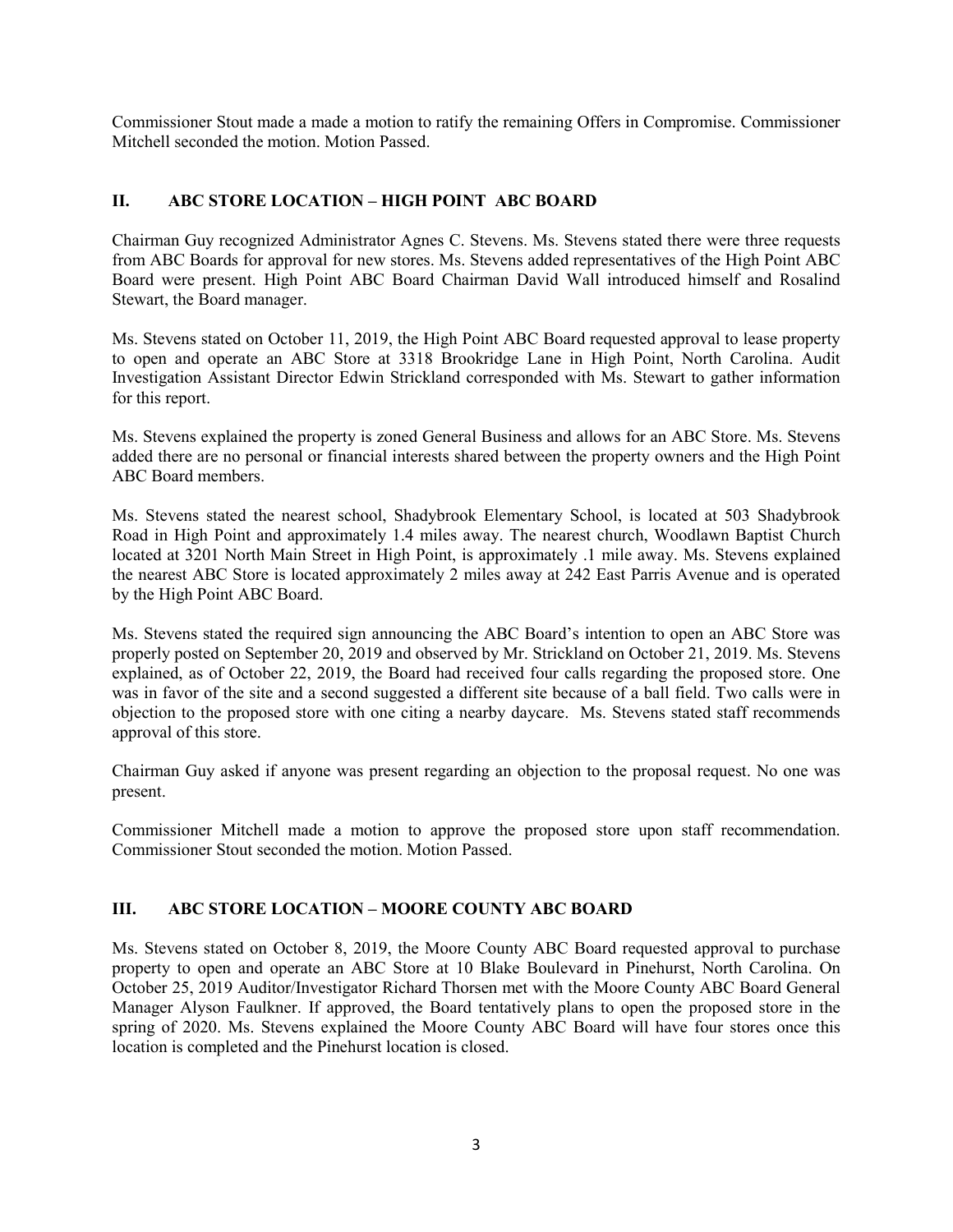Commissioner Stout made a made a motion to ratify the remaining Offers in Compromise. Commissioner Mitchell seconded the motion. Motion Passed.

## **II. ABC STORE LOCATION – HIGH POINT ABC BOARD**

Chairman Guy recognized Administrator Agnes C. Stevens. Ms. Stevens stated there were three requests from ABC Boards for approval for new stores. Ms. Stevens added representatives of the High Point ABC Board were present. High Point ABC Board Chairman David Wall introduced himself and Rosalind Stewart, the Board manager.

Ms. Stevens stated on October 11, 2019, the High Point ABC Board requested approval to lease property to open and operate an ABC Store at 3318 Brookridge Lane in High Point, North Carolina. Audit Investigation Assistant Director Edwin Strickland corresponded with Ms. Stewart to gather information for this report.

Ms. Stevens explained the property is zoned General Business and allows for an ABC Store. Ms. Stevens added there are no personal or financial interests shared between the property owners and the High Point ABC Board members.

Ms. Stevens stated the nearest school, Shadybrook Elementary School, is located at 503 Shadybrook Road in High Point and approximately 1.4 miles away. The nearest church, Woodlawn Baptist Church located at 3201 North Main Street in High Point, is approximately .1 mile away. Ms. Stevens explained the nearest ABC Store is located approximately 2 miles away at 242 East Parris Avenue and is operated by the High Point ABC Board.

Ms. Stevens stated the required sign announcing the ABC Board's intention to open an ABC Store was properly posted on September 20, 2019 and observed by Mr. Strickland on October 21, 2019. Ms. Stevens explained, as of October 22, 2019, the Board had received four calls regarding the proposed store. One was in favor of the site and a second suggested a different site because of a ball field. Two calls were in objection to the proposed store with one citing a nearby daycare. Ms. Stevens stated staff recommends approval of this store.

Chairman Guy asked if anyone was present regarding an objection to the proposal request. No one was present.

Commissioner Mitchell made a motion to approve the proposed store upon staff recommendation. Commissioner Stout seconded the motion. Motion Passed.

### **III. ABC STORE LOCATION – MOORE COUNTY ABC BOARD**

Ms. Stevens stated on October 8, 2019, the Moore County ABC Board requested approval to purchase property to open and operate an ABC Store at 10 Blake Boulevard in Pinehurst, North Carolina. On October 25, 2019 Auditor/Investigator Richard Thorsen met with the Moore County ABC Board General Manager Alyson Faulkner. If approved, the Board tentatively plans to open the proposed store in the spring of 2020. Ms. Stevens explained the Moore County ABC Board will have four stores once this location is completed and the Pinehurst location is closed.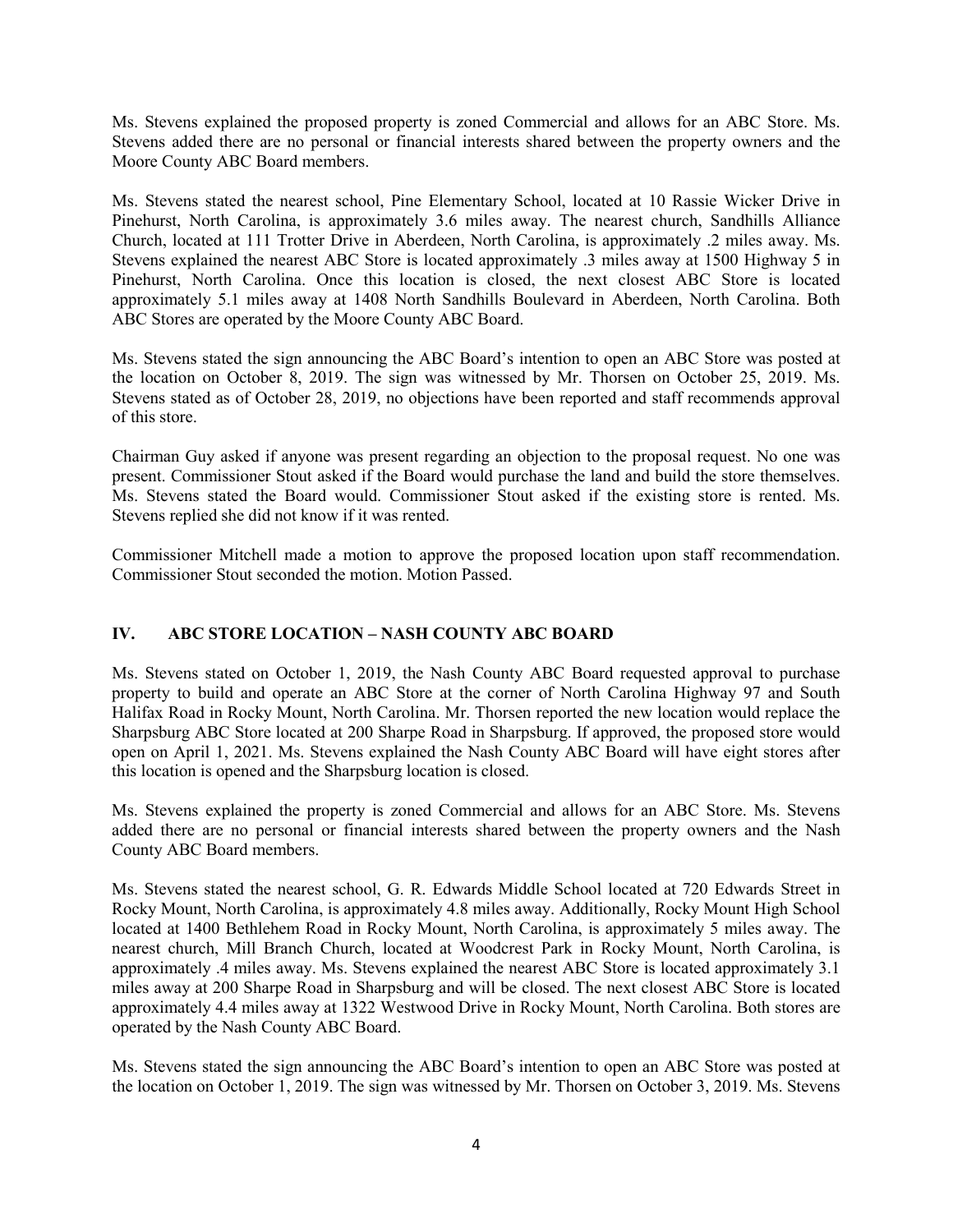Ms. Stevens explained the proposed property is zoned Commercial and allows for an ABC Store. Ms. Stevens added there are no personal or financial interests shared between the property owners and the Moore County ABC Board members.

Ms. Stevens stated the nearest school, Pine Elementary School, located at 10 Rassie Wicker Drive in Pinehurst, North Carolina, is approximately 3.6 miles away. The nearest church, Sandhills Alliance Church, located at 111 Trotter Drive in Aberdeen, North Carolina, is approximately .2 miles away. Ms. Stevens explained the nearest ABC Store is located approximately .3 miles away at 1500 Highway 5 in Pinehurst, North Carolina. Once this location is closed, the next closest ABC Store is located approximately 5.1 miles away at 1408 North Sandhills Boulevard in Aberdeen, North Carolina. Both ABC Stores are operated by the Moore County ABC Board.

Ms. Stevens stated the sign announcing the ABC Board's intention to open an ABC Store was posted at the location on October 8, 2019. The sign was witnessed by Mr. Thorsen on October 25, 2019. Ms. Stevens stated as of October 28, 2019, no objections have been reported and staff recommends approval of this store.

Chairman Guy asked if anyone was present regarding an objection to the proposal request. No one was present. Commissioner Stout asked if the Board would purchase the land and build the store themselves. Ms. Stevens stated the Board would. Commissioner Stout asked if the existing store is rented. Ms. Stevens replied she did not know if it was rented.

Commissioner Mitchell made a motion to approve the proposed location upon staff recommendation. Commissioner Stout seconded the motion. Motion Passed.

# **IV. ABC STORE LOCATION – NASH COUNTY ABC BOARD**

Ms. Stevens stated on October 1, 2019, the Nash County ABC Board requested approval to purchase property to build and operate an ABC Store at the corner of North Carolina Highway 97 and South Halifax Road in Rocky Mount, North Carolina. Mr. Thorsen reported the new location would replace the Sharpsburg ABC Store located at 200 Sharpe Road in Sharpsburg. If approved, the proposed store would open on April 1, 2021. Ms. Stevens explained the Nash County ABC Board will have eight stores after this location is opened and the Sharpsburg location is closed.

Ms. Stevens explained the property is zoned Commercial and allows for an ABC Store. Ms. Stevens added there are no personal or financial interests shared between the property owners and the Nash County ABC Board members.

Ms. Stevens stated the nearest school, G. R. Edwards Middle School located at 720 Edwards Street in Rocky Mount, North Carolina, is approximately 4.8 miles away. Additionally, Rocky Mount High School located at 1400 Bethlehem Road in Rocky Mount, North Carolina, is approximately 5 miles away. The nearest church, Mill Branch Church, located at Woodcrest Park in Rocky Mount, North Carolina, is approximately .4 miles away. Ms. Stevens explained the nearest ABC Store is located approximately 3.1 miles away at 200 Sharpe Road in Sharpsburg and will be closed. The next closest ABC Store is located approximately 4.4 miles away at 1322 Westwood Drive in Rocky Mount, North Carolina. Both stores are operated by the Nash County ABC Board.

Ms. Stevens stated the sign announcing the ABC Board's intention to open an ABC Store was posted at the location on October 1, 2019. The sign was witnessed by Mr. Thorsen on October 3, 2019. Ms. Stevens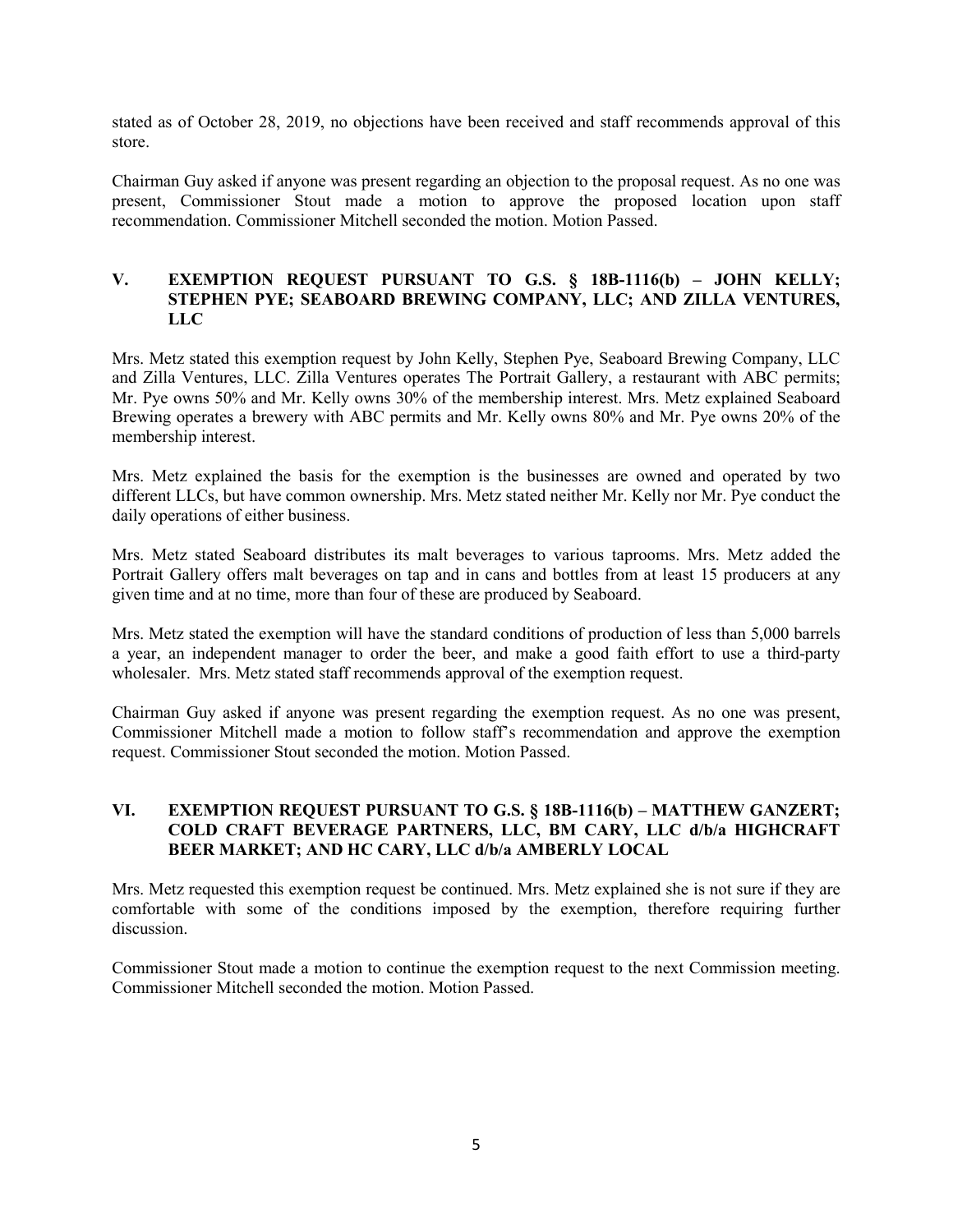stated as of October 28, 2019, no objections have been received and staff recommends approval of this store.

Chairman Guy asked if anyone was present regarding an objection to the proposal request. As no one was present, Commissioner Stout made a motion to approve the proposed location upon staff recommendation. Commissioner Mitchell seconded the motion. Motion Passed.

### **V. EXEMPTION REQUEST PURSUANT TO G.S. § 18B-1116(b) – JOHN KELLY; STEPHEN PYE; SEABOARD BREWING COMPANY, LLC; AND ZILLA VENTURES, LLC**

Mrs. Metz stated this exemption request by John Kelly, Stephen Pye, Seaboard Brewing Company, LLC and Zilla Ventures, LLC. Zilla Ventures operates The Portrait Gallery, a restaurant with ABC permits; Mr. Pye owns 50% and Mr. Kelly owns 30% of the membership interest. Mrs. Metz explained Seaboard Brewing operates a brewery with ABC permits and Mr. Kelly owns 80% and Mr. Pye owns 20% of the membership interest.

Mrs. Metz explained the basis for the exemption is the businesses are owned and operated by two different LLCs, but have common ownership. Mrs. Metz stated neither Mr. Kelly nor Mr. Pye conduct the daily operations of either business.

Mrs. Metz stated Seaboard distributes its malt beverages to various taprooms. Mrs. Metz added the Portrait Gallery offers malt beverages on tap and in cans and bottles from at least 15 producers at any given time and at no time, more than four of these are produced by Seaboard.

Mrs. Metz stated the exemption will have the standard conditions of production of less than 5,000 barrels a year, an independent manager to order the beer, and make a good faith effort to use a third-party wholesaler. Mrs. Metz stated staff recommends approval of the exemption request.

Chairman Guy asked if anyone was present regarding the exemption request. As no one was present, Commissioner Mitchell made a motion to follow staff's recommendation and approve the exemption request. Commissioner Stout seconded the motion. Motion Passed.

### **VI. EXEMPTION REQUEST PURSUANT TO G.S. § 18B-1116(b) – MATTHEW GANZERT; COLD CRAFT BEVERAGE PARTNERS, LLC, BM CARY, LLC d/b/a HIGHCRAFT BEER MARKET; AND HC CARY, LLC d/b/a AMBERLY LOCAL**

Mrs. Metz requested this exemption request be continued. Mrs. Metz explained she is not sure if they are comfortable with some of the conditions imposed by the exemption, therefore requiring further discussion.

Commissioner Stout made a motion to continue the exemption request to the next Commission meeting. Commissioner Mitchell seconded the motion. Motion Passed.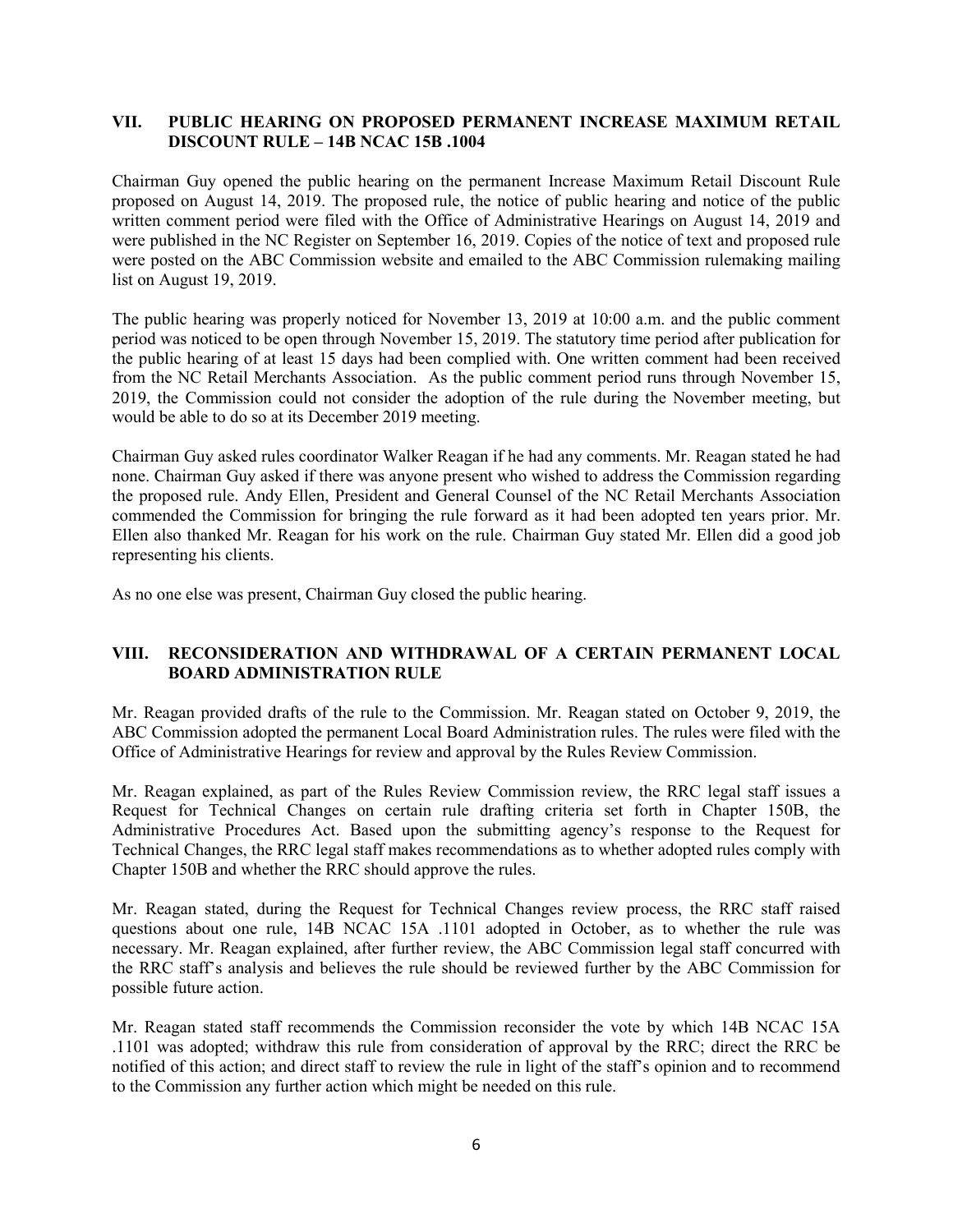### **VII. PUBLIC HEARING ON PROPOSED PERMANENT INCREASE MAXIMUM RETAIL DISCOUNT RULE – 14B NCAC 15B .1004**

Chairman Guy opened the public hearing on the permanent Increase Maximum Retail Discount Rule proposed on August 14, 2019. The proposed rule, the notice of public hearing and notice of the public written comment period were filed with the Office of Administrative Hearings on August 14, 2019 and were published in the NC Register on September 16, 2019. Copies of the notice of text and proposed rule were posted on the ABC Commission website and emailed to the ABC Commission rulemaking mailing list on August 19, 2019.

The public hearing was properly noticed for November 13, 2019 at 10:00 a.m. and the public comment period was noticed to be open through November 15, 2019. The statutory time period after publication for the public hearing of at least 15 days had been complied with. One written comment had been received from the NC Retail Merchants Association. As the public comment period runs through November 15, 2019, the Commission could not consider the adoption of the rule during the November meeting, but would be able to do so at its December 2019 meeting.

Chairman Guy asked rules coordinator Walker Reagan if he had any comments. Mr. Reagan stated he had none. Chairman Guy asked if there was anyone present who wished to address the Commission regarding the proposed rule. Andy Ellen, President and General Counsel of the NC Retail Merchants Association commended the Commission for bringing the rule forward as it had been adopted ten years prior. Mr. Ellen also thanked Mr. Reagan for his work on the rule. Chairman Guy stated Mr. Ellen did a good job representing his clients.

As no one else was present, Chairman Guy closed the public hearing.

## **VIII. RECONSIDERATION AND WITHDRAWAL OF A CERTAIN PERMANENT LOCAL BOARD ADMINISTRATION RULE**

Mr. Reagan provided drafts of the rule to the Commission. Mr. Reagan stated on October 9, 2019, the ABC Commission adopted the permanent Local Board Administration rules. The rules were filed with the Office of Administrative Hearings for review and approval by the Rules Review Commission.

Mr. Reagan explained, as part of the Rules Review Commission review, the RRC legal staff issues a Request for Technical Changes on certain rule drafting criteria set forth in Chapter 150B, the Administrative Procedures Act. Based upon the submitting agency's response to the Request for Technical Changes, the RRC legal staff makes recommendations as to whether adopted rules comply with Chapter 150B and whether the RRC should approve the rules.

Mr. Reagan stated, during the Request for Technical Changes review process, the RRC staff raised questions about one rule, 14B NCAC 15A .1101 adopted in October, as to whether the rule was necessary. Mr. Reagan explained, after further review, the ABC Commission legal staff concurred with the RRC staff's analysis and believes the rule should be reviewed further by the ABC Commission for possible future action.

Mr. Reagan stated staff recommends the Commission reconsider the vote by which 14B NCAC 15A .1101 was adopted; withdraw this rule from consideration of approval by the RRC; direct the RRC be notified of this action; and direct staff to review the rule in light of the staff's opinion and to recommend to the Commission any further action which might be needed on this rule.